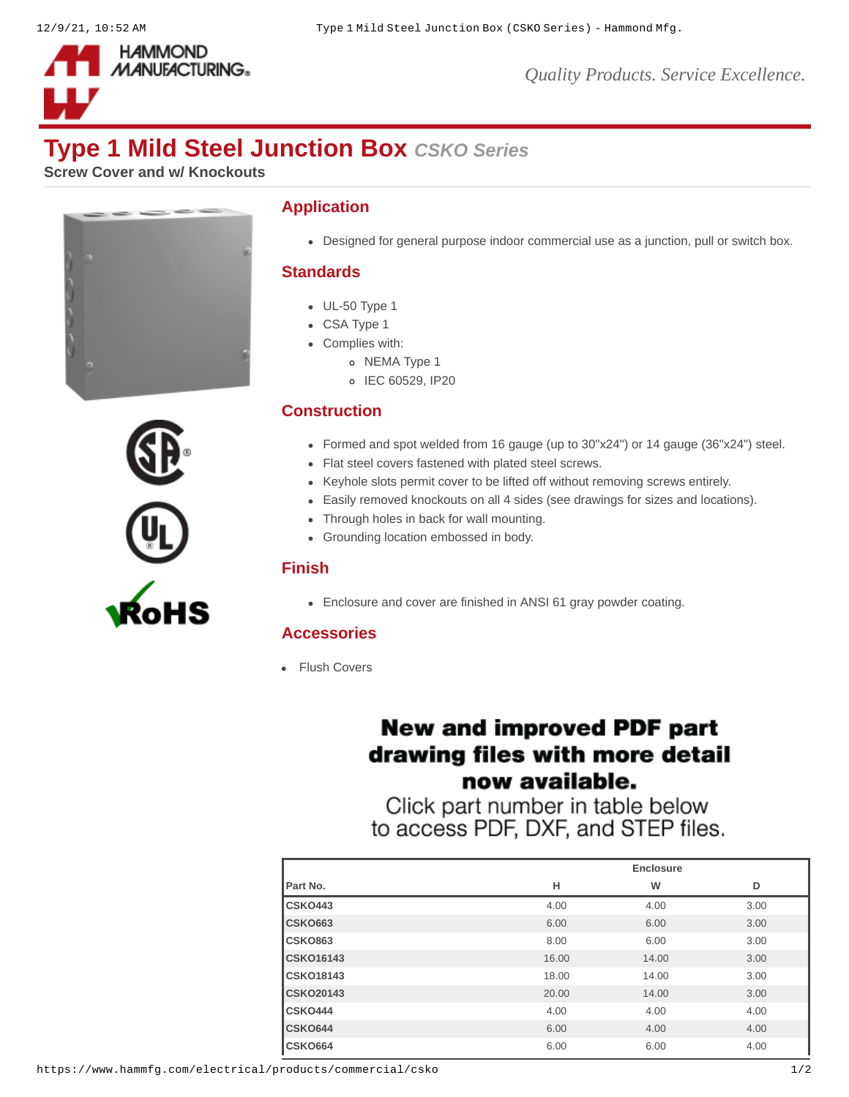

# **Type 1 Mild Steel Junction Box** *CSKO Series*

**Screw Cover and w/ Knockouts**





#### **Application**

Designed for general purpose indoor commercial use as a junction, pull or switch box.

#### **Standards**

- $\bullet$  UL-50 Type 1
- CSA Type 1
- Complies with:
	- o NEMA Type 1
	- o IEC 60529, IP20

### **Construction**

- Formed and spot welded from 16 gauge (up to 30"x24") or 14 gauge (36"x24") steel.
- Flat steel covers fastened with plated steel screws.
- Keyhole slots permit cover to be lifted off without removing screws entirely.
- Easily removed knockouts on all 4 sides (see drawings for sizes and locations).
- Through holes in back for wall mounting.
- Grounding location embossed in body.

#### **Finish**

Enclosure and cover are finished in ANSI 61 gray powder coating.

#### **Accessories**

• [Flush Covers](https://www.hammfg.com/electrical/products/accessories/csfc?referer=255&itm_type=accessory)

## **New and improved PDF part** drawing files with more detail now available.

Click part number in table below to access PDF, DXF, and STEP files.

|                  | Enclosure |       |      |
|------------------|-----------|-------|------|
| Part No.         | н         | W     | D    |
| CSKO443          | 4.00      | 4.00  | 3.00 |
| <b>CSK0663</b>   | 6.00      | 6.00  | 3.00 |
| <b>CSK0863</b>   | 8.00      | 6.00  | 3.00 |
| <b>CSK016143</b> | 16.00     | 14.00 | 3.00 |
| <b>CSK018143</b> | 18.00     | 14.00 | 3.00 |
| <b>CSK020143</b> | 20.00     | 14.00 | 3.00 |
| CSKO444          | 4.00      | 4.00  | 4.00 |
| CSKO644          | 6.00      | 4.00  | 4.00 |
| <b>CSK0664</b>   | 6.00      | 6.00  | 4.00 |